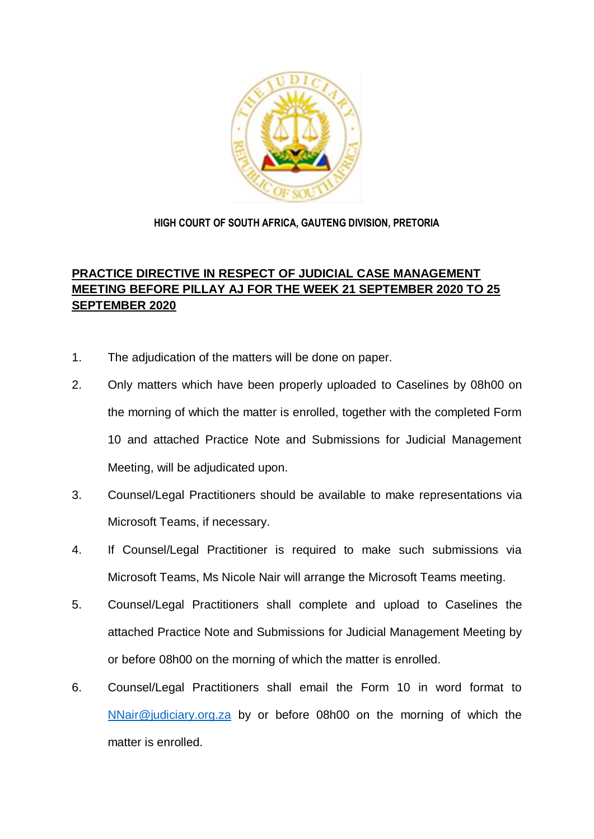

## **HIGH COURT OF SOUTH AFRICA, GAUTENG DIVISION, PRETORIA**

## **PRACTICE DIRECTIVE IN RESPECT OF JUDICIAL CASE MANAGEMENT MEETING BEFORE PILLAY AJ FOR THE WEEK 21 SEPTEMBER 2020 TO 25 SEPTEMBER 2020**

- 1. The adjudication of the matters will be done on paper.
- 2. Only matters which have been properly uploaded to Caselines by 08h00 on the morning of which the matter is enrolled, together with the completed Form 10 and attached Practice Note and Submissions for Judicial Management Meeting, will be adjudicated upon.
- 3. Counsel/Legal Practitioners should be available to make representations via Microsoft Teams, if necessary.
- 4. If Counsel/Legal Practitioner is required to make such submissions via Microsoft Teams, Ms Nicole Nair will arrange the Microsoft Teams meeting.
- 5. Counsel/Legal Practitioners shall complete and upload to Caselines the attached Practice Note and Submissions for Judicial Management Meeting by or before 08h00 on the morning of which the matter is enrolled.
- 6. Counsel/Legal Practitioners shall email the Form 10 in word format to [NNair@judiciary.org.za](mailto:NNair@judiciary.org.za) by or before 08h00 on the morning of which the matter is enrolled.